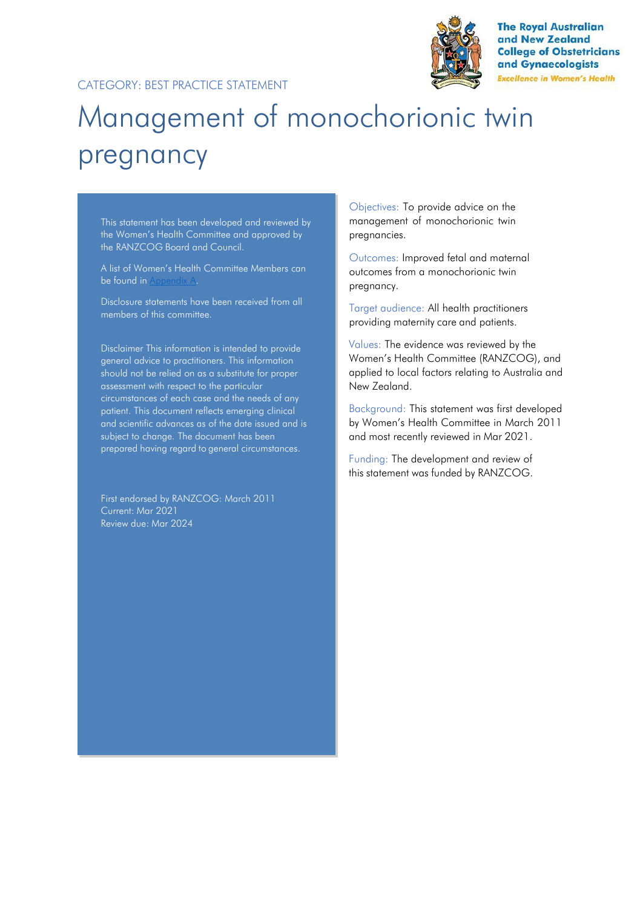

**The Royal Australian** and New Zealand **College of Obstetricians** and Gynaecologists **Excellence in Women's Health** 

# Management of monochorionic twin pregnancy

This statement has been developed and reviewed by the Women's Health Committee and approved by the RANZCOG Board and Council.

A list of Women's Health Committee Members can be found in Appendix A.

Disclosure statements have been received from all members of this committee.

Disclaimer This information is intended to provide general advice to practitioners. This information should not be relied on as a substitute for proper assessment with respect to the particular circumstances of each case and the needs of any patient. This document reflects emerging clinical and scientific advances as of the date issued and is subject to change. The document has been prepared having regard to general circumstances.

First endorsed by RANZCOG: March 2011 Current: Mar 2021 Review due: Mar 2024

Objectives: To provide advice on the management of monochorionic twin pregnancies.

Outcomes: Improved fetal and maternal outcomes from a monochorionic twin pregnancy.

Target audience: All health practitioners providing maternity care and patients.

Values: The evidence was reviewed by the Women's Health Committee (RANZCOG), and applied to local factors relating to Australia and New Zealand.

Background: This statement was first developed by Women's Health Committee in March 2011 and most recently reviewed in Mar 2021.

Funding: The development and review of this statement was funded by RANZCOG.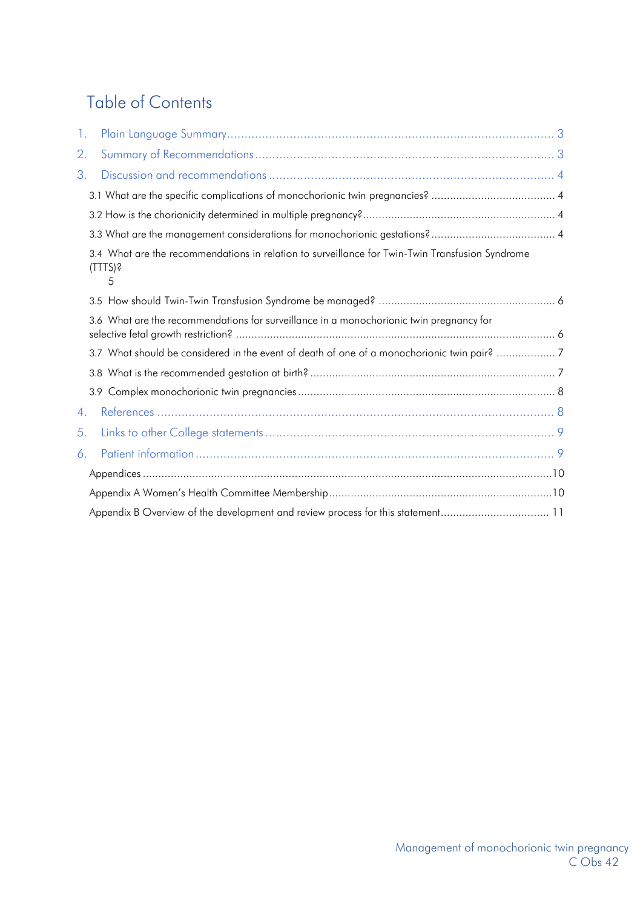## Table of Contents

| 3.1 What are the specific complications of monochorionic twin pregnancies?  4                                      |  |
|--------------------------------------------------------------------------------------------------------------------|--|
|                                                                                                                    |  |
|                                                                                                                    |  |
| 3.4 What are the recommendations in relation to surveillance for Twin-Twin Transfusion Syndrome<br>$(TTTS)$ ?<br>5 |  |
|                                                                                                                    |  |
| 3.6 What are the recommendations for surveillance in a monochorionic twin pregnancy for                            |  |
| 3.7 What should be considered in the event of death of one of a monochorionic twin pair? 7                         |  |
|                                                                                                                    |  |
|                                                                                                                    |  |
|                                                                                                                    |  |
|                                                                                                                    |  |
|                                                                                                                    |  |
|                                                                                                                    |  |
|                                                                                                                    |  |
|                                                                                                                    |  |
|                                                                                                                    |  |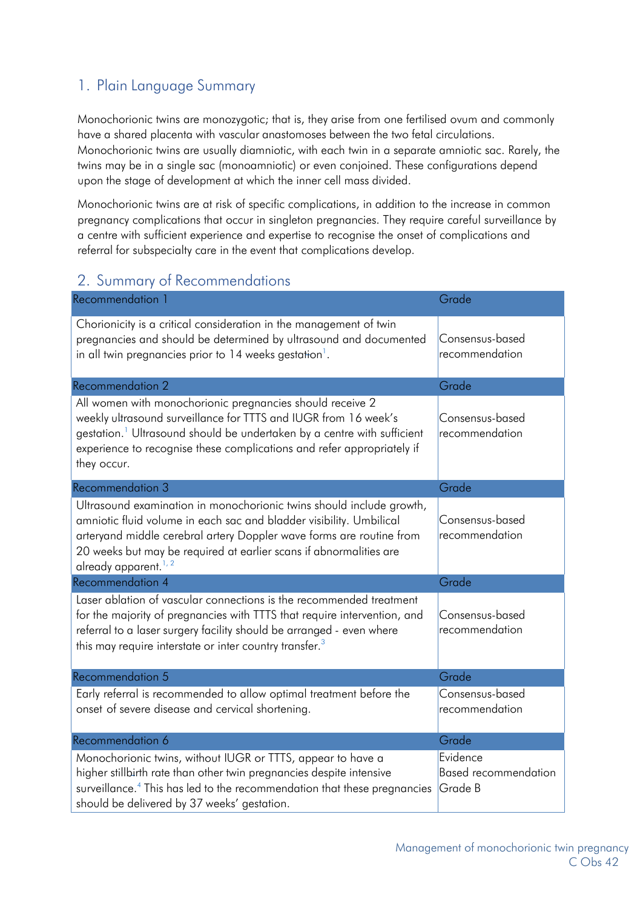## <span id="page-2-0"></span>1. Plain Language Summary

Monochorionic twins are monozygotic; that is, they arise from one fertilised ovum and commonly have a shared placenta with vascular anastomoses between the two fetal circulations. Monochorionic twins are usually diamniotic, with each twin in a separate amniotic sac. Rarely, the twins may be in a single sac (monoamniotic) or even conjoined. These configurations depend upon the stage of development at which the inner cell mass divided.

Monochorionic twins are at risk of specific complications, in addition to the increase in common pregnancy complications that occur in singleton pregnancies. They require careful surveillance by a centre with sufficient experience and expertise to recognise the onset of complications and referral for subspecialty care in the event that complications develop.

## <span id="page-2-1"></span>2. Summary of Recommendations

| Recommendation 1                                                                                                                                                                                                                                                                                                              | Grade                                              |
|-------------------------------------------------------------------------------------------------------------------------------------------------------------------------------------------------------------------------------------------------------------------------------------------------------------------------------|----------------------------------------------------|
| Chorionicity is a critical consideration in the management of twin<br>pregnancies and should be determined by ultrasound and documented<br>in all twin pregnancies prior to 14 weeks gestation <sup>1</sup> .                                                                                                                 | Consensus-based<br>recommendation                  |
| <b>Recommendation 2</b>                                                                                                                                                                                                                                                                                                       | Grade                                              |
| All women with monochorionic pregnancies should receive 2<br>weekly ultrasound surveillance for TTTS and IUGR from 16 week's<br>gestation. <sup>1</sup> Ultrasound should be undertaken by a centre with sufficient<br>experience to recognise these complications and refer appropriately if<br>they occur.                  | Consensus-based<br>recommendation                  |
| Recommendation 3                                                                                                                                                                                                                                                                                                              | Grade                                              |
| Ultrasound examination in monochorionic twins should include growth,<br>amniotic fluid volume in each sac and bladder visibility. Umbilical<br>arteryand middle cerebral artery Doppler wave forms are routine from<br>20 weeks but may be required at earlier scans if abnormalities are<br>already apparent. <sup>1,2</sup> | Consensus-based<br>recommendation                  |
| <b>Recommendation 4</b>                                                                                                                                                                                                                                                                                                       | Grade                                              |
| Laser ablation of vascular connections is the recommended treatment<br>for the majority of pregnancies with TTTS that require intervention, and<br>referral to a laser surgery facility should be arranged - even where<br>this may require interstate or inter country transfer. <sup>3</sup>                                | Consensus-based<br>recommendation                  |
| Recommendation 5                                                                                                                                                                                                                                                                                                              | Grade                                              |
| Early referral is recommended to allow optimal treatment before the<br>onset of severe disease and cervical shortening.                                                                                                                                                                                                       | Consensus-based<br>recommendation                  |
| Recommendation 6                                                                                                                                                                                                                                                                                                              | Grade                                              |
| Monochorionic twins, without IUGR or TTTS, appear to have a<br>higher stillbirth rate than other twin pregnancies despite intensive<br>surveillance. <sup>4</sup> This has led to the recommendation that these pregnancies<br>should be delivered by 37 weeks' gestation.                                                    | Evidence<br><b>Based recommendation</b><br>Grade B |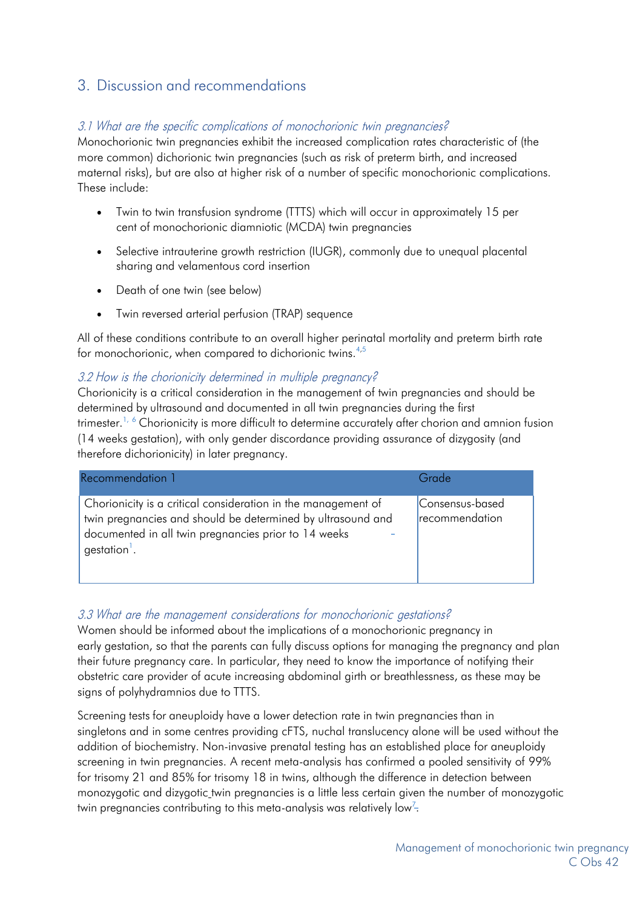## <span id="page-3-0"></span>3. Discussion and recommendations

#### <span id="page-3-1"></span>3.1 What are the specific complications of monochorionic twin pregnancies?

Monochorionic twin pregnancies exhibit the increased complication rates characteristic of (the more common) dichorionic twin pregnancies (such as risk of preterm birth, and increased maternal risks), but are also at higher risk of a number of specific monochorionic complications. These include:

- Twin to twin transfusion syndrome (TTTS) which will occur in approximately 15 per cent of monochorionic diamniotic (MCDA) twin pregnancies
- Selective intrauterine growth restriction (IUGR), commonly due to unequal placental sharing and velamentous cord insertion
- Death of one twin (see below)
- Twin reversed arterial perfusion (TRAP) sequence

All of these conditions contribute to an overall higher perinatal mortality and preterm birth rate for monochorionic, when compared to dichorionic twins.<sup>4,5</sup>

#### <span id="page-3-2"></span>3.2 How is the chorionicity determined in multiple pregnancy?

Chorionicity is a critical consideration in the management of twin pregnancies and should be determined by ultrasound and documented in all twin pregnancies during the first trimester.<sup>1, 6</sup> Chorionicity is more difficult to determine accurately after chorion and amnion fusion (14 weeks gestation), with only gender discordance providing assurance of dizygosity (and therefore dichorionicity) in later pregnancy.

| Recommendation 1                                                                                                                                                                                                 | Grade                             |
|------------------------------------------------------------------------------------------------------------------------------------------------------------------------------------------------------------------|-----------------------------------|
| Chorionicity is a critical consideration in the management of<br>twin pregnancies and should be determined by ultrasound and<br>documented in all twin pregnancies prior to 14 weeks<br>gestation <sup>1</sup> . | Consensus-based<br>recommendation |

#### <span id="page-3-3"></span>3.3 What are the management considerations for monochorionic gestations?

Women should be informed about the implications of a monochorionic pregnancy in early gestation, so that the parents can fully discuss options for managing the pregnancy and plan their future pregnancy care. In particular, they need to know the importance of notifying their obstetric care provider of acute increasing abdominal girth or breathlessness, as these may be signs of polyhydramnios due to TTTS.

Screening tests for aneuploidy have a lower detection rate in twin pregnancies than in singletons and in some centres providing cFTS, nuchal translucency alone will be used without the addition of biochemistry. Non-invasive prenatal testing has an established place for aneuploidy screening in twin pregnancies. A recent meta-analysis has confirmed a pooled sensitivity of 99% for trisomy 21 and 85% for trisomy 18 in twins, although the difference in detection between monozygotic and dizygotic twin pregnancies is a little less certain given the number of monozygotic twin pregnancies contributing to this meta-analysis was relatively low<sup>7</sup>.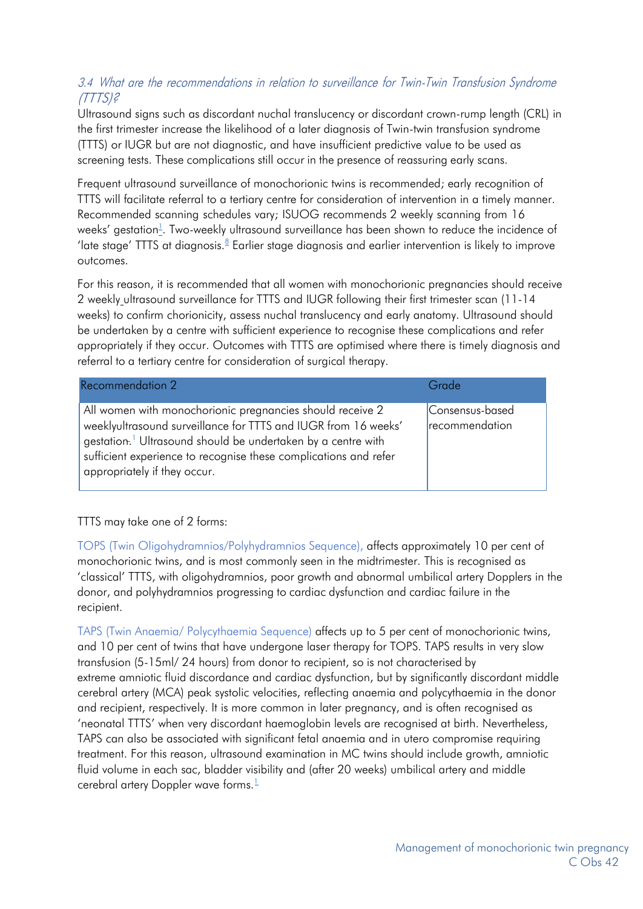#### 3.4 What are the recommendations in relation to surveillance for Twin-Twin Transfusion Syndrome (TTTS)?

Ultrasound signs such as discordant nuchal translucency or discordant crown-rump length (CRL) in the first trimester increase the likelihood of a later diagnosis of Twin-twin transfusion syndrome (TTTS) or IUGR but are not diagnostic, and have insufficient predictive value to be used as screening tests. These complications still occur in the presence of reassuring early scans.

Frequent ultrasound surveillance of monochorionic twins is recommended; early recognition of TTTS will facilitate referral to a tertiary centre for consideration of intervention in a timely manner. Recommended scanning schedules vary; ISUOG recommends 2 weekly scanning from 16 weeks' gestation $^{\perp}_{\text{-}}$ . Two-weekly ultrasound surveillance has been shown to reduce the incidence of 'late stage' TTTS at diagnosis.<sup>8</sup> Earlier stage diagnosis and earlier intervention is likely to improve outcomes.

For this reason, it is recommended that all women with monochorionic pregnancies should receive 2 weekly ultrasound surveillance for TTTS and IUGR following their first trimester scan (11-14 weeks) to confirm chorionicity, assess nuchal translucency and early anatomy. Ultrasound should be undertaken by a centre with sufficient experience to recognise these complications and refer appropriately if they occur. Outcomes with TTTS are optimised where there is timely diagnosis and referral to a tertiary centre for consideration of surgical therapy.

| Recommendation 2                                                                                                                                                                                                                                                                                            | Grade                             |
|-------------------------------------------------------------------------------------------------------------------------------------------------------------------------------------------------------------------------------------------------------------------------------------------------------------|-----------------------------------|
| All women with monochorionic pregnancies should receive 2<br>weeklyultrasound surveillance for TTTS and IUGR from 16 weeks'<br>gestation. <sup>1</sup> Ultrasound should be undertaken by a centre with<br>sufficient experience to recognise these complications and refer<br>appropriately if they occur. | Consensus-based<br>recommendation |

#### TTTS may take one of 2 forms:

TOPS (Twin Oligohydramnios/Polyhydramnios Sequence), affects approximately 10 per cent of monochorionic twins, and is most commonly seen in the midtrimester. This is recognised as 'classical' TTTS, with oligohydramnios, poor growth and abnormal umbilical artery Dopplers in the donor, and polyhydramnios progressing to cardiac dysfunction and cardiac failure in the recipient.

TAPS (Twin Anaemia/ Polycythaemia Sequence) affects up to 5 per cent of monochorionic twins, and 10 per cent of twins that have undergone laser therapy for TOPS. TAPS results in very slow transfusion (5-15ml/ 24 hours) from donor to recipient, so is not characterised by extreme amniotic fluid discordance and cardiac dysfunction, but by significantly discordant middle cerebral artery (MCA) peak systolic velocities, reflecting anaemia and polycythaemia in the donor and recipient, respectively. It is more common in later pregnancy, and is often recognised as 'neonatal TTTS' when very discordant haemoglobin levels are recognised at birth. Nevertheless, TAPS can also be associated with significant fetal anaemia and in utero compromise requiring treatment. For this reason, ultrasound examination in MC twins should include growth, amniotic fluid volume in each sac, bladder visibility and (after 20 weeks) umbilical artery and middle cerebral artery Doppler wave forms. $\frac{1}{2}$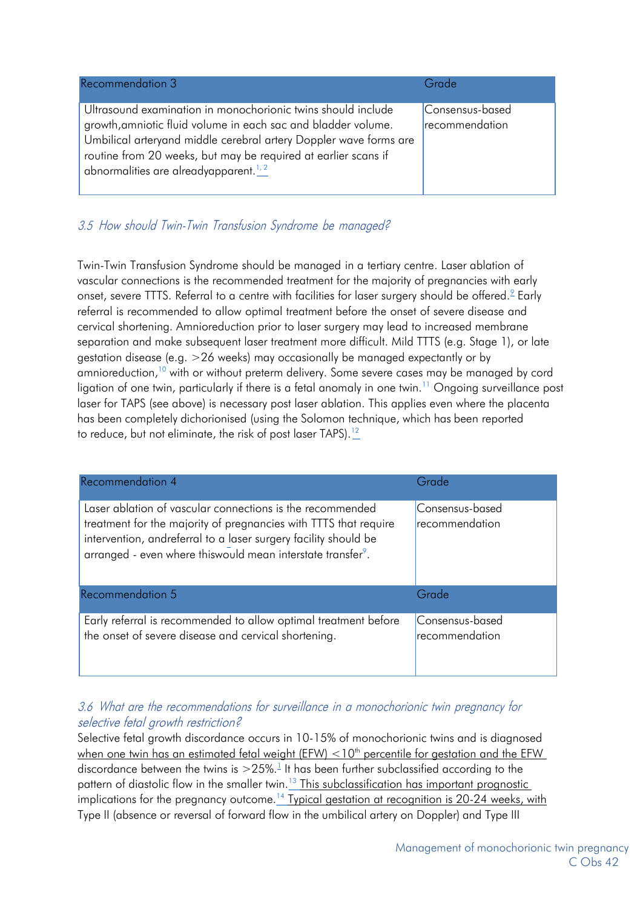| Recommendation 3                                                                                                                                                                                                                                                                                                          | Grade                             |
|---------------------------------------------------------------------------------------------------------------------------------------------------------------------------------------------------------------------------------------------------------------------------------------------------------------------------|-----------------------------------|
| Ultrasound examination in monochorionic twins should include<br>growth, amniotic fluid volume in each sac and bladder volume.<br>Umbilical arteryand middle cerebral artery Doppler wave forms are<br>routine from 20 weeks, but may be required at earlier scans if<br>abnormalities are alreadyapparent. <sup>1,2</sup> | Consensus-based<br>recommendation |

#### <span id="page-5-0"></span>3.5 How should Twin-Twin Transfusion Syndrome be managed?

Twin-Twin Transfusion Syndrome should be managed in a tertiary centre. Laser ablation of vascular connections is the recommended treatment for the majority of pregnancies with early onset, severe TTTS. Referral to a centre with facilities for laser surgery should be offered.<sup>2</sup> Early referral is recommended to allow optimal treatment before the onset of severe disease and cervical shortening. Amnioreduction prior to laser surgery may lead to increased membrane separation and make subsequent laser treatment more difficult. Mild TTTS (e.g. Stage 1), or late gestation disease (e.g. >26 weeks) may occasionally be managed expectantly or by amnioreduction,<sup>10</sup> with or without preterm delivery. Some severe cases may be managed by cord ligation of one twin, particularly if there is a fetal anomaly in one twin.<sup>11</sup> Ongoing surveillance post laser for TAPS (see above) is necessary post laser ablation. This applies even where the placenta has been completely dichorionised (using the Solomon technique, which has been reported to reduce, but not eliminate, the risk of post laser TAPS).<sup>12</sup>

| <b>Recommendation 4</b>                                                                                                                                                                                                                                                      | Grade                             |
|------------------------------------------------------------------------------------------------------------------------------------------------------------------------------------------------------------------------------------------------------------------------------|-----------------------------------|
| Laser ablation of vascular connections is the recommended<br>treatment for the majority of pregnancies with TTTS that require<br>intervention, andreferral to a laser surgery facility should be<br>arranged - even where this would mean interstate transfer <sup>9</sup> . | Consensus-based<br>recommendation |
| <b>Recommendation 5</b>                                                                                                                                                                                                                                                      | Grade                             |
| Early referral is recommended to allow optimal treatment before<br>the onset of severe disease and cervical shortening.                                                                                                                                                      | Consensus-based<br>recommendation |

#### <span id="page-5-2"></span><span id="page-5-1"></span>3.6 What are the recommendations for surveillance in <sup>a</sup> monochorionic twin pregnancy for selective fetal growth restriction?

Selective fetal growth discordance occurs in 10-15% of monochorionic twins and is diagnosed when one twin has an estimated fetal weight (EFW)  $<$  10<sup>th</sup> percentile for gestation and the EFW discordance between the twins is  $>$  25%.<sup>1</sup> It has been further subclassified according to the pattern of diastolic flow in the smaller twin.<sup>13</sup> This subclassification has important prognostic implications for the pregnancy outcome.<sup>14</sup> Typical gestation at recognition is 20-24 weeks, with Type II (absence or reversal of forward flow in the umbilical artery on Doppler) and Type III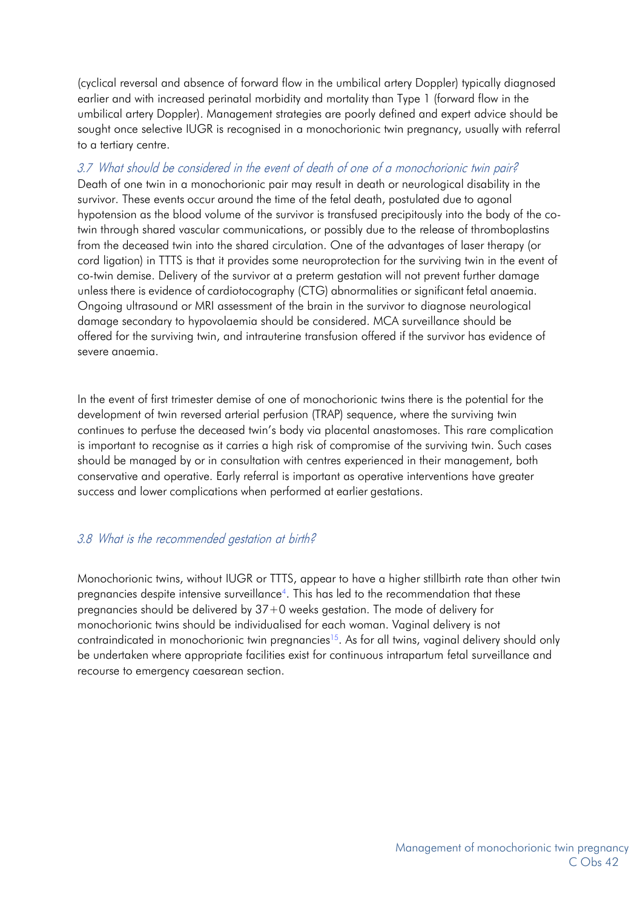(cyclical reversal and absence of forward flow in the umbilical artery Doppler) typically diagnosed earlier and with increased perinatal morbidity and mortality than Type 1 (forward flow in the umbilical artery Doppler). Management strategies are poorly defined and expert advice should be sought once selective IUGR is recognised in a monochorionic twin pregnancy, usually with referral to a tertiary centre.

#### 3.7 What should be considered in the event of death of one of a monochorionic twin pair?

Death of one twin in a monochorionic pair may result in death or neurological disability in the survivor. These events occur around the time of the fetal death, postulated due to agonal hypotension as the blood volume of the survivor is transfused precipitously into the body of the cotwin through shared vascular communications, or possibly due to the release of thromboplastins from the deceased twin into the shared circulation. One of the advantages of laser therapy (or cord ligation) in TTTS is that it provides some neuroprotection for the surviving twin in the event of co-twin demise. Delivery of the survivor at a preterm gestation will not prevent further damage unless there is evidence of cardiotocography (CTG) abnormalities or significant fetal anaemia. Ongoing ultrasound or MRI assessment of the brain in the survivor to diagnose neurological damage secondary to hypovolaemia should be considered. MCA surveillance should be offered for the surviving twin, and intrauterine transfusion offered if the survivor has evidence of severe anaemia.

In the event of first trimester demise of one of monochorionic twins there is the potential for the development of twin reversed arterial perfusion (TRAP) sequence, where the surviving twin continues to perfuse the deceased twin's body via placental anastomoses. This rare complication is important to recognise as it carries a high risk of compromise of the surviving twin. Such cases should be managed by or in consultation with centres experienced in their management, both conservative and operative. Early referral is important as operative interventions have greater success and lower complications when performed at earlier gestations.

#### <span id="page-6-0"></span>3.8 What is the recommended gestation at birth?

Monochorionic twins, without IUGR or TTTS, appear to have a higher stillbirth rate than other twin pregnancies despite intensive surveillance4. This has led to the recommendation that these pregnancies should be delivered by 37+0 weeks gestation. The mode of delivery for monochorionic twins should be individualised for each woman. Vaginal delivery is not contraindicated in monochorionic twin pregnancies<sup>15</sup>. As for all twins, vaginal delivery should only be undertaken where appropriate facilities exist for continuous intrapartum fetal surveillance and recourse to emergency caesarean section.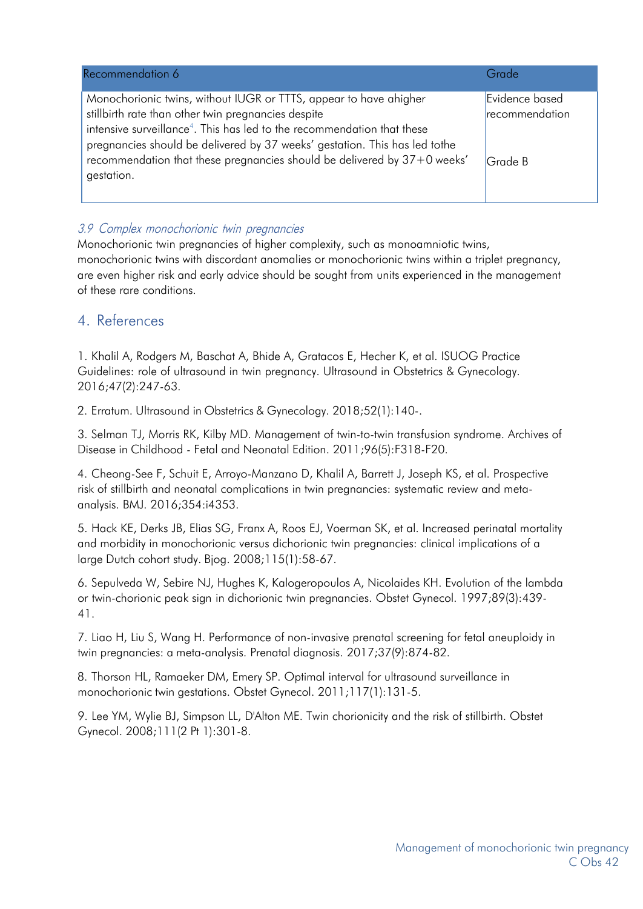| Recommendation 6                                                                                                                                                                                                          | Grade          |
|---------------------------------------------------------------------------------------------------------------------------------------------------------------------------------------------------------------------------|----------------|
| Monochorionic twins, without IUGR or TTTS, appear to have ahigher                                                                                                                                                         | Evidence based |
| stillbirth rate than other twin pregnancies despite<br>intensive surveillance <sup>4</sup> . This has led to the recommendation that these<br>pregnancies should be delivered by 37 weeks' gestation. This has led to the | recommendation |
| recommendation that these pregnancies should be delivered by 37+0 weeks'<br>gestation.                                                                                                                                    | Grade B        |

#### <span id="page-7-0"></span>3.9 Complex monochorionic twin pregnancies

Monochorionic twin pregnancies of higher complexity, such as monoamniotic twins, monochorionic twins with discordant anomalies or monochorionic twins within a triplet pregnancy, are even higher risk and early advice should be sought from units experienced in the management of these rare conditions.

#### <span id="page-7-1"></span>4. References

1. Khalil A, Rodgers M, Baschat A, Bhide A, Gratacos E, Hecher K, et al. ISUOG Practice Guidelines: role of ultrasound in twin pregnancy. Ultrasound in Obstetrics & Gynecology. 2016;47(2):247-63.

2. Erratum. Ultrasound in Obstetrics & Gynecology. 2018;52(1):140-.

3. Selman TJ, Morris RK, Kilby MD. Management of twin-to-twin transfusion syndrome. Archives of Disease in Childhood - Fetal and Neonatal Edition. 2011;96(5):F318-F20.

4. Cheong-See F, Schuit E, Arroyo-Manzano D, Khalil A, Barrett J, Joseph KS, et al. Prospective risk of stillbirth and neonatal complications in twin pregnancies: systematic review and metaanalysis. BMJ. 2016;354:i4353.

5. Hack KE, Derks JB, Elias SG, Franx A, Roos EJ, Voerman SK, et al. Increased perinatal mortality and morbidity in monochorionic versus dichorionic twin pregnancies: clinical implications of a large Dutch cohort study. Bjog. 2008;115(1):58-67.

6. Sepulveda W, Sebire NJ, Hughes K, Kalogeropoulos A, Nicolaides KH. Evolution of the lambda or twin-chorionic peak sign in dichorionic twin pregnancies. Obstet Gynecol. 1997;89(3):439- 41.

7. Liao H, Liu S, Wang H. Performance of non-invasive prenatal screening for fetal aneuploidy in twin pregnancies: a meta-analysis. Prenatal diagnosis. 2017;37(9):874-82.

8. Thorson HL, Ramaeker DM, Emery SP. Optimal interval for ultrasound surveillance in monochorionic twin gestations. Obstet Gynecol. 2011;117(1):131-5.

9. Lee YM, Wylie BJ, Simpson LL, D'Alton ME. Twin chorionicity and the risk of stillbirth. Obstet Gynecol. 2008;111(2 Pt 1):301-8.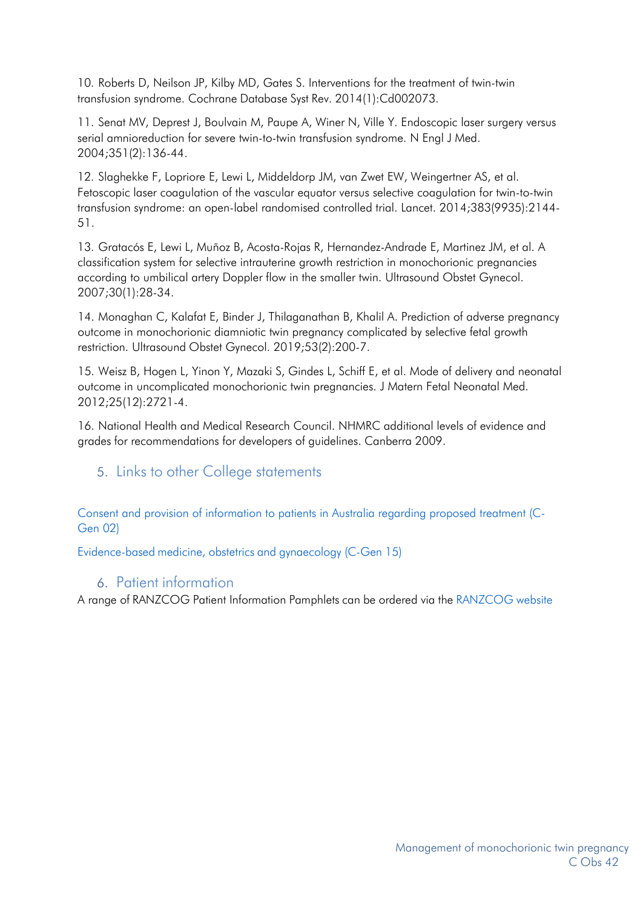10. Roberts D, Neilson JP, Kilby MD, Gates S. Interventions for the treatment of twin-twin transfusion syndrome. Cochrane Database Syst Rev. 2014(1):Cd002073.

11. Senat MV, Deprest J, Boulvain M, Paupe A, Winer N, Ville Y. Endoscopic laser surgery versus serial amnioreduction for severe twin-to-twin transfusion syndrome. N Engl J Med. 2004;351(2):136-44.

12. Slaghekke F, Lopriore E, Lewi L, Middeldorp JM, van Zwet EW, Weingertner AS, et al. Fetoscopic laser coagulation of the vascular equator versus selective coagulation for twin-to-twin transfusion syndrome: an open-label randomised controlled trial. Lancet. 2014;383(9935):2144- 51.

13. Gratacós E, Lewi L, Muñoz B, Acosta-Rojas R, Hernandez-Andrade E, Martinez JM, et al. A classification system for selective intrauterine growth restriction in monochorionic pregnancies according to umbilical artery Doppler flow in the smaller twin. Ultrasound Obstet Gynecol. 2007;30(1):28-34.

14. Monaghan C, Kalafat E, Binder J, Thilaganathan B, Khalil A. Prediction of adverse pregnancy outcome in monochorionic diamniotic twin pregnancy complicated by selective fetal growth restriction. Ultrasound Obstet Gynecol. 2019;53(2):200-7.

15. Weisz B, Hogen L, Yinon Y, Mazaki S, Gindes L, Schiff E, et al. Mode of delivery and neonatal outcome in uncomplicated monochorionic twin pregnancies. J Matern Fetal Neonatal Med. 2012;25(12):2721-4.

16. National Health and Medical Research Council. NHMRC additional levels of evidence and grades for recommendations for developers of guidelines. Canberra 2009.

#### <span id="page-8-0"></span>5. Links to other College statements

[Consent and provision of information to patients in Australia regarding proposed treatment \(C-](https://ranzcog.edu.au/RANZCOG_SITE/media/RANZCOG-MEDIA/Women%27s%20Health/Statement%20and%20guidelines/Clinical%20-%20General/Consent-and-provision-of-information-to-patients-in-Australia-(C-Gen-2a).pdf?ext=.pdf)[Gen](https://www.ranzcog.edu.au/RANZCOG_SITE/media/RANZCOG-MEDIA/Women%27s%20Health/Statement%20and%20guidelines/Clinical%20-%20General/Consent-and-provision-of-information-to-patients-in-Australia-(C-Gen-2a)-Review-July-2016.pdf?ext=.pdf) 02)

[Evidence-based](https://www.ranzcog.edu.au/RANZCOG_SITE/media/RANZCOG-MEDIA/Women%27s%20Health/Statement%20and%20guidelines/Clinical%20-%20General/Evidence-based-medicine%2C-Obstetrics-and-Gynaecology-(C-Gen-15)-Review-March-2016.pdf?ext=.pdf) medicine, obstetrics and gynaecology (C-Gen 15)

#### 6. Patient information

<span id="page-8-1"></span>A range of RANZCOG Patient Information Pamphlets can be ordered via the [RANZCOG](https://www.ranzcog.edu.au/Womens-Health/Patient-Information-Guides/Patient-Information-Pamphlets) website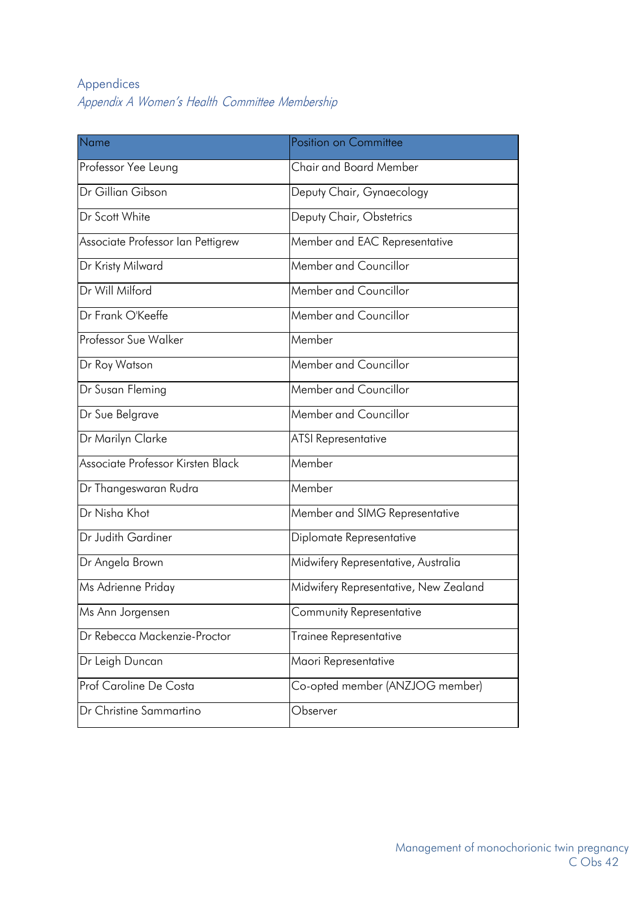## <span id="page-9-1"></span><span id="page-9-0"></span>Appendices Appendix A Women's Health Committee Membership

| Position on Committee                 |
|---------------------------------------|
| Chair and Board Member                |
| Deputy Chair, Gynaecology             |
| Deputy Chair, Obstetrics              |
| Member and EAC Representative         |
| Member and Councillor                 |
| Member and Councillor                 |
| Member and Councillor                 |
| Member                                |
| Member and Councillor                 |
| Member and Councillor                 |
| Member and Councillor                 |
| <b>ATSI Representative</b>            |
| Member                                |
| Member                                |
| Member and SIMG Representative        |
| Diplomate Representative              |
| Midwifery Representative, Australia   |
| Midwifery Representative, New Zealand |
| Community Representative              |
| Trainee Representative                |
| Maori Representative                  |
| Co-opted member (ANZJOG member)       |
| Observer                              |
|                                       |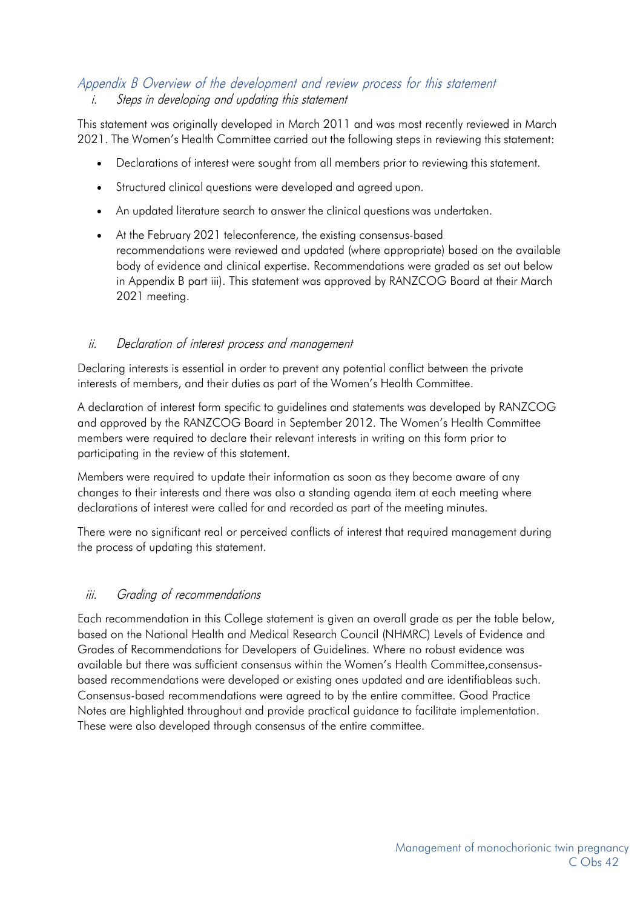### <span id="page-10-0"></span>Appendix B Overview of the development and review process for this statement

#### i. Steps in developing and updating this statement

This statement was originally developed in March 2011 and was most recently reviewed in March 2021. The Women's Health Committee carried out the following steps in reviewing this statement:

- Declarations of interest were sought from all members prior to reviewing this statement.
- Structured clinical questions were developed and agreed upon.
- An updated literature search to answer the clinical questions was undertaken.
- At the February 2021 teleconference, the existing consensus-based recommendations were reviewed and updated (where appropriate) based on the available body of evidence and clinical expertise. Recommendations were graded as set out below in Appendix B part iii). This statement was approved by RANZCOG Board at their March 2021 meeting.

#### ii. Declaration of interest process and management

Declaring interests is essential in order to prevent any potential conflict between the private interests of members, and their duties as part of the Women's Health Committee.

A declaration of interest form specific to guidelines and statements was developed by RANZCOG and approved by the RANZCOG Board in September 2012. The Women's Health Committee members were required to declare their relevant interests in writing on this form prior to participating in the review of this statement.

Members were required to update their information as soon as they become aware of any changes to their interests and there was also a standing agenda item at each meeting where declarations of interest were called for and recorded as part of the meeting minutes.

There were no significant real or perceived conflicts of interest that required management during the process of updating this statement.

#### iii. Grading of recommendations

Each recommendation in this College statement is given an overall grade as per the table below, based on the National Health and Medical Research Council (NHMRC) Levels of Evidence and Grades of Recommendations for Developers of Guidelines. Where no robust evidence was available but there was sufficient consensus within the Women's Health Committee,consensusbased recommendations were developed or existing ones updated and are identifiableas such. Consensus-based recommendations were agreed to by the entire committee. Good Practice Notes are highlighted throughout and provide practical guidance to facilitate implementation. These were also developed through consensus of the entire committee.